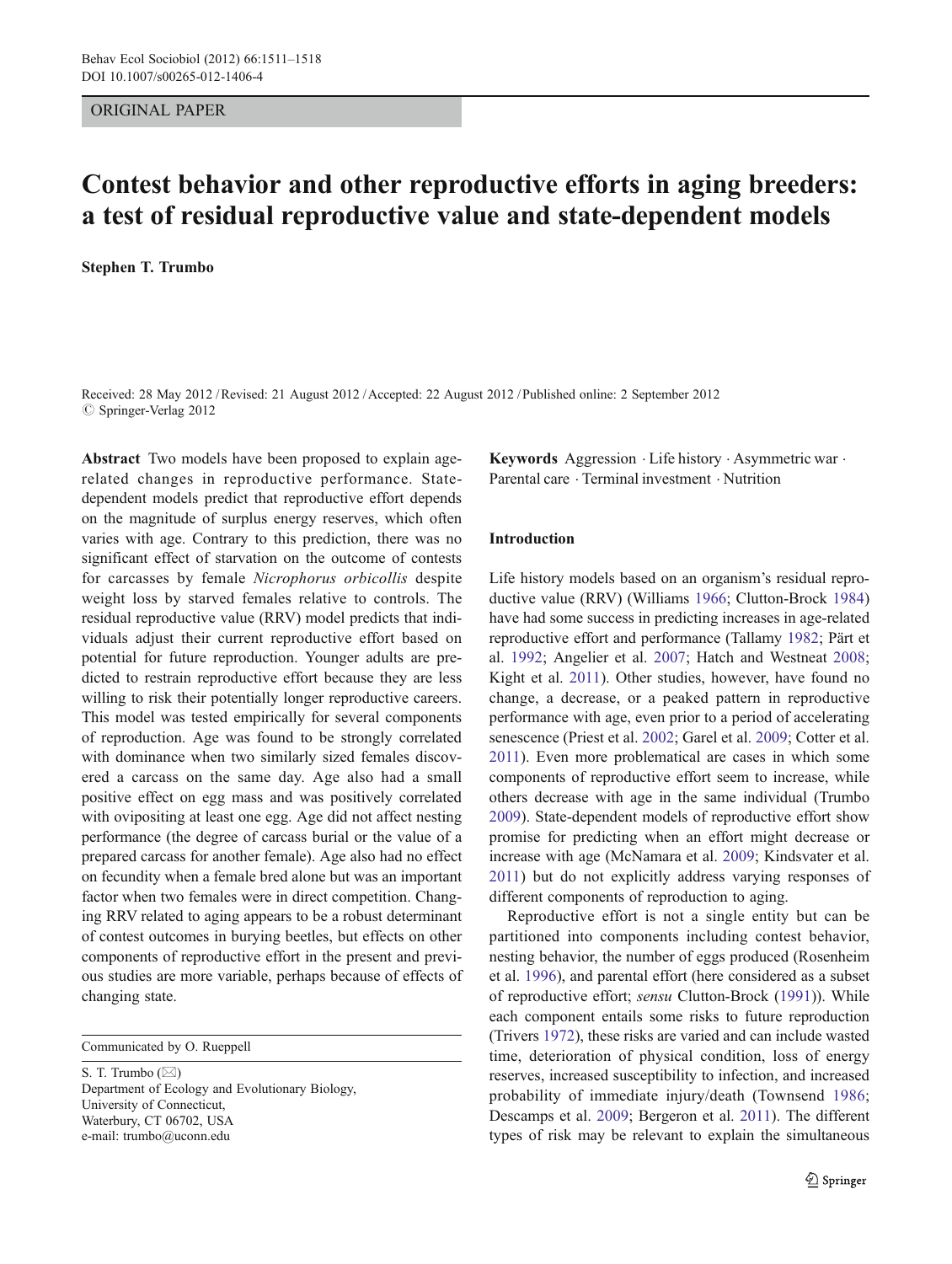## ORIGINAL PAPER

# Contest behavior and other reproductive efforts in aging breeders: a test of residual reproductive value and state-dependent models

Stephen T. Trumbo

Received: 28 May 2012 /Revised: 21 August 2012 /Accepted: 22 August 2012 / Published online: 2 September 2012  $\oslash$  Springer-Verlag 2012

Abstract Two models have been proposed to explain agerelated changes in reproductive performance. Statedependent models predict that reproductive effort depends on the magnitude of surplus energy reserves, which often varies with age. Contrary to this prediction, there was no significant effect of starvation on the outcome of contests for carcasses by female Nicrophorus orbicollis despite weight loss by starved females relative to controls. The residual reproductive value (RRV) model predicts that individuals adjust their current reproductive effort based on potential for future reproduction. Younger adults are predicted to restrain reproductive effort because they are less willing to risk their potentially longer reproductive careers. This model was tested empirically for several components of reproduction. Age was found to be strongly correlated with dominance when two similarly sized females discovered a carcass on the same day. Age also had a small positive effect on egg mass and was positively correlated with ovipositing at least one egg. Age did not affect nesting performance (the degree of carcass burial or the value of a prepared carcass for another female). Age also had no effect on fecundity when a female bred alone but was an important factor when two females were in direct competition. Changing RRV related to aging appears to be a robust determinant of contest outcomes in burying beetles, but effects on other components of reproductive effort in the present and previous studies are more variable, perhaps because of effects of changing state.

Communicated by O. Rueppell

S. T. Trumbo  $(\boxtimes)$ Department of Ecology and Evolutionary Biology, University of Connecticut, Waterbury, CT 06702, USA e-mail: trumbo@uconn.edu

Keywords Aggression . Life history . Asymmetric war . Parental care . Terminal investment . Nutrition

## Introduction

Life history models based on an organism's residual reproductive value (RRV) (Williams [1966;](#page-7-0) Clutton-Brock [1984](#page-6-0)) have had some success in predicting increases in age-related reproductive effort and performance (Tallamy [1982;](#page-7-0) Pärt et al. [1992;](#page-7-0) Angelier et al. [2007](#page-6-0); Hatch and Westneat [2008;](#page-6-0) Kight et al. [2011\)](#page-6-0). Other studies, however, have found no change, a decrease, or a peaked pattern in reproductive performance with age, even prior to a period of accelerating senescence (Priest et al. [2002;](#page-7-0) Garel et al. [2009;](#page-6-0) Cotter et al. [2011\)](#page-6-0). Even more problematical are cases in which some components of reproductive effort seem to increase, while others decrease with age in the same individual (Trumbo [2009](#page-7-0)). State-dependent models of reproductive effort show promise for predicting when an effort might decrease or increase with age (McNamara et al. [2009](#page-7-0); Kindsvater et al. [2011\)](#page-6-0) but do not explicitly address varying responses of different components of reproduction to aging.

Reproductive effort is not a single entity but can be partitioned into components including contest behavior, nesting behavior, the number of eggs produced (Rosenheim et al. [1996](#page-7-0)), and parental effort (here considered as a subset of reproductive effort; sensu Clutton-Brock ([1991\)](#page-6-0)). While each component entails some risks to future reproduction (Trivers [1972\)](#page-7-0), these risks are varied and can include wasted time, deterioration of physical condition, loss of energy reserves, increased susceptibility to infection, and increased probability of immediate injury/death (Townsend [1986;](#page-7-0) Descamps et al. [2009;](#page-6-0) Bergeron et al. [2011\)](#page-6-0). The different types of risk may be relevant to explain the simultaneous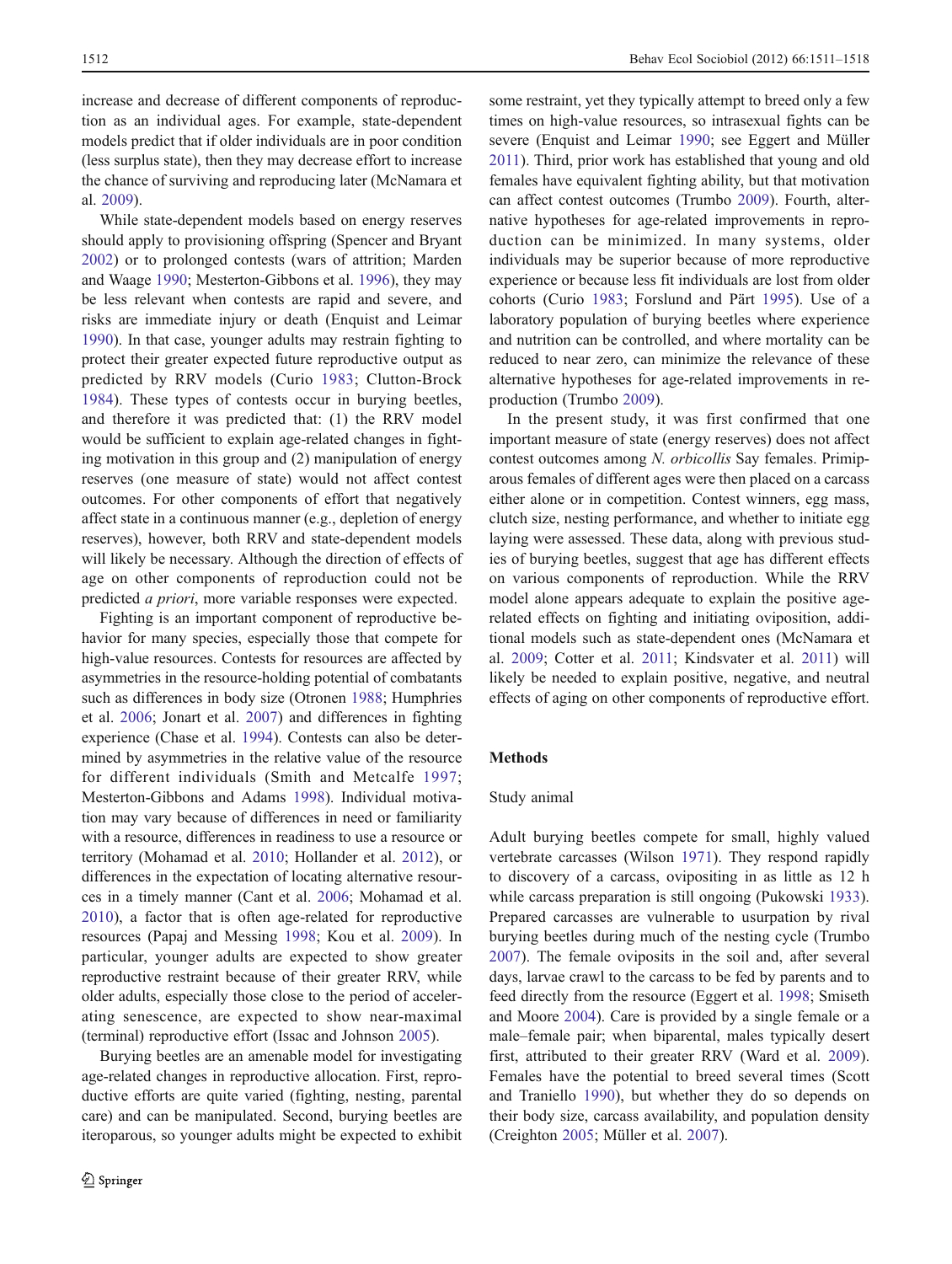increase and decrease of different components of reproduction as an individual ages. For example, state-dependent models predict that if older individuals are in poor condition (less surplus state), then they may decrease effort to increase the chance of surviving and reproducing later (McNamara et al. [2009\)](#page-7-0).

While state-dependent models based on energy reserves should apply to provisioning offspring (Spencer and Bryant [2002\)](#page-7-0) or to prolonged contests (wars of attrition; Marden and Waage [1990](#page-7-0); Mesterton-Gibbons et al. [1996](#page-7-0)), they may be less relevant when contests are rapid and severe, and risks are immediate injury or death (Enquist and Leimar [1990\)](#page-6-0). In that case, younger adults may restrain fighting to protect their greater expected future reproductive output as predicted by RRV models (Curio [1983;](#page-6-0) Clutton-Brock [1984](#page-6-0)). These types of contests occur in burying beetles, and therefore it was predicted that: (1) the RRV model would be sufficient to explain age-related changes in fighting motivation in this group and (2) manipulation of energy reserves (one measure of state) would not affect contest outcomes. For other components of effort that negatively affect state in a continuous manner (e.g., depletion of energy reserves), however, both RRV and state-dependent models will likely be necessary. Although the direction of effects of age on other components of reproduction could not be predicted a priori, more variable responses were expected.

Fighting is an important component of reproductive behavior for many species, especially those that compete for high-value resources. Contests for resources are affected by asymmetries in the resource-holding potential of combatants such as differences in body size (Otronen [1988;](#page-7-0) Humphries et al. [2006](#page-6-0); Jonart et al. [2007\)](#page-6-0) and differences in fighting experience (Chase et al. [1994](#page-6-0)). Contests can also be determined by asymmetries in the relative value of the resource for different individuals (Smith and Metcalfe [1997](#page-7-0); Mesterton-Gibbons and Adams [1998](#page-7-0)). Individual motivation may vary because of differences in need or familiarity with a resource, differences in readiness to use a resource or territory (Mohamad et al. [2010;](#page-7-0) Hollander et al. [2012\)](#page-6-0), or differences in the expectation of locating alternative resources in a timely manner (Cant et al. [2006](#page-6-0); Mohamad et al. [2010](#page-7-0)), a factor that is often age-related for reproductive resources (Papaj and Messing [1998;](#page-7-0) Kou et al. [2009](#page-7-0)). In particular, younger adults are expected to show greater reproductive restraint because of their greater RRV, while older adults, especially those close to the period of accelerating senescence, are expected to show near-maximal (terminal) reproductive effort (Issac and Johnson [2005\)](#page-6-0).

Burying beetles are an amenable model for investigating age-related changes in reproductive allocation. First, reproductive efforts are quite varied (fighting, nesting, parental care) and can be manipulated. Second, burying beetles are iteroparous, so younger adults might be expected to exhibit some restraint, yet they typically attempt to breed only a few times on high-value resources, so intrasexual fights can be severe (Enquist and Leimar [1990](#page-6-0); see Eggert and Müller [2011\)](#page-6-0). Third, prior work has established that young and old females have equivalent fighting ability, but that motivation can affect contest outcomes (Trumbo [2009\)](#page-7-0). Fourth, alternative hypotheses for age-related improvements in reproduction can be minimized. In many systems, older individuals may be superior because of more reproductive experience or because less fit individuals are lost from older cohorts (Curio [1983](#page-6-0); Forslund and Pärt [1995\)](#page-6-0). Use of a laboratory population of burying beetles where experience and nutrition can be controlled, and where mortality can be reduced to near zero, can minimize the relevance of these alternative hypotheses for age-related improvements in reproduction (Trumbo [2009\)](#page-7-0).

In the present study, it was first confirmed that one important measure of state (energy reserves) does not affect contest outcomes among N. orbicollis Say females. Primiparous females of different ages were then placed on a carcass either alone or in competition. Contest winners, egg mass, clutch size, nesting performance, and whether to initiate egg laying were assessed. These data, along with previous studies of burying beetles, suggest that age has different effects on various components of reproduction. While the RRV model alone appears adequate to explain the positive agerelated effects on fighting and initiating oviposition, additional models such as state-dependent ones (McNamara et al. [2009](#page-7-0); Cotter et al. [2011](#page-6-0); Kindsvater et al. [2011](#page-6-0)) will likely be needed to explain positive, negative, and neutral effects of aging on other components of reproductive effort.

## Methods

## Study animal

Adult burying beetles compete for small, highly valued vertebrate carcasses (Wilson [1971](#page-7-0)). They respond rapidly to discovery of a carcass, ovipositing in as little as 12 h while carcass preparation is still ongoing (Pukowski [1933\)](#page-7-0). Prepared carcasses are vulnerable to usurpation by rival burying beetles during much of the nesting cycle (Trumbo [2007](#page-7-0)). The female oviposits in the soil and, after several days, larvae crawl to the carcass to be fed by parents and to feed directly from the resource (Eggert et al. [1998;](#page-6-0) Smiseth and Moore [2004](#page-7-0)). Care is provided by a single female or a male–female pair; when biparental, males typically desert first, attributed to their greater RRV (Ward et al. [2009](#page-7-0)). Females have the potential to breed several times (Scott and Traniello [1990](#page-7-0)), but whether they do so depends on their body size, carcass availability, and population density (Creighton [2005;](#page-6-0) Müller et al. [2007](#page-7-0)).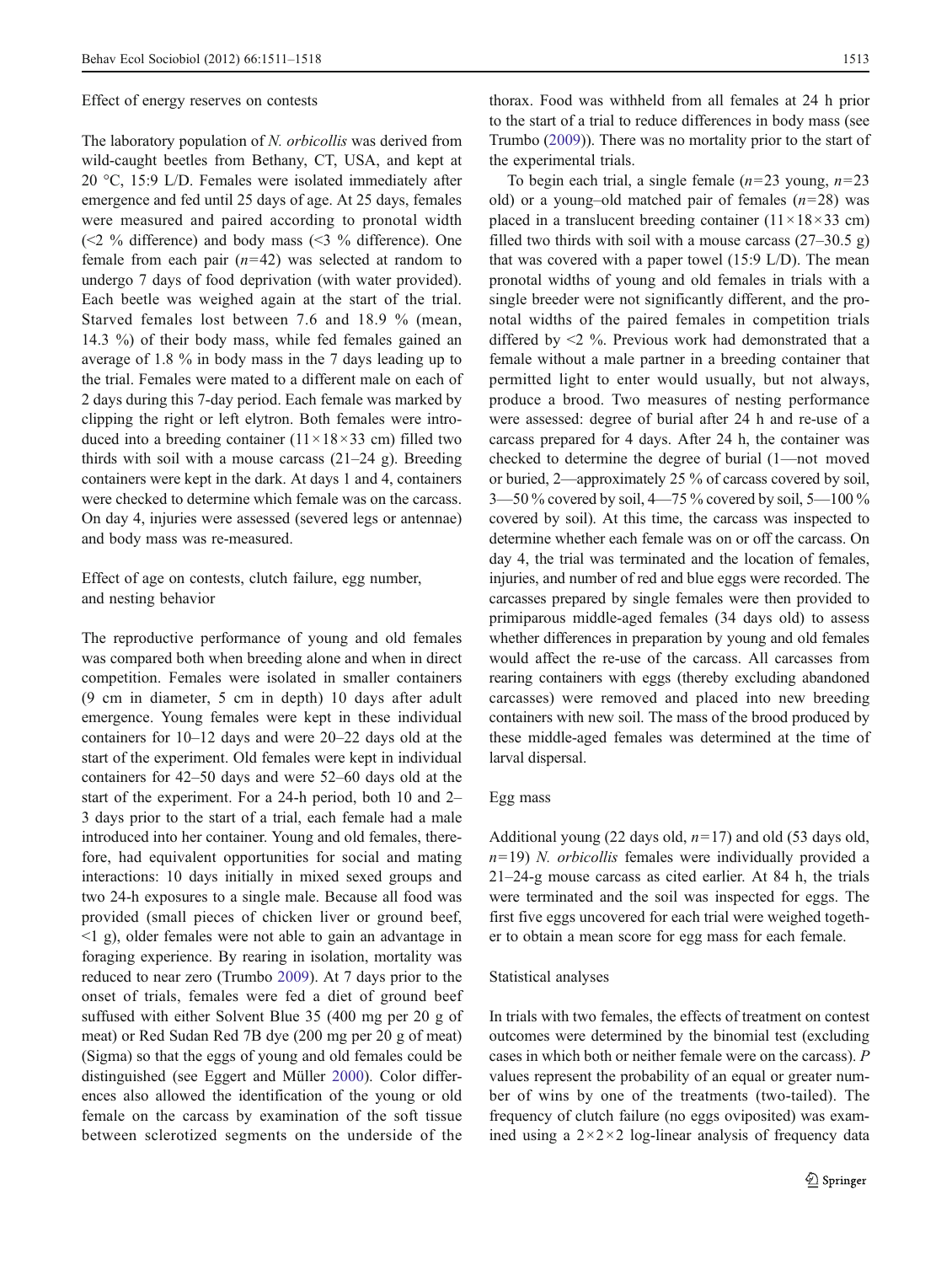#### Effect of energy reserves on contests

The laboratory population of N. *orbicollis* was derived from wild-caught beetles from Bethany, CT, USA, and kept at 20 °C, 15:9 L/D. Females were isolated immediately after emergence and fed until 25 days of age. At 25 days, females were measured and paired according to pronotal width (<2 % difference) and body mass (<3 % difference). One female from each pair  $(n=42)$  was selected at random to undergo 7 days of food deprivation (with water provided). Each beetle was weighed again at the start of the trial. Starved females lost between 7.6 and 18.9 % (mean, 14.3 %) of their body mass, while fed females gained an average of 1.8 % in body mass in the 7 days leading up to the trial. Females were mated to a different male on each of 2 days during this 7-day period. Each female was marked by clipping the right or left elytron. Both females were introduced into a breeding container  $(11 \times 18 \times 33$  cm) filled two thirds with soil with a mouse carcass  $(21-24 \text{ g})$ . Breeding containers were kept in the dark. At days 1 and 4, containers were checked to determine which female was on the carcass. On day 4, injuries were assessed (severed legs or antennae) and body mass was re-measured.

Effect of age on contests, clutch failure, egg number, and nesting behavior

The reproductive performance of young and old females was compared both when breeding alone and when in direct competition. Females were isolated in smaller containers (9 cm in diameter, 5 cm in depth) 10 days after adult emergence. Young females were kept in these individual containers for 10–12 days and were 20–22 days old at the start of the experiment. Old females were kept in individual containers for 42–50 days and were 52–60 days old at the start of the experiment. For a 24-h period, both 10 and 2– 3 days prior to the start of a trial, each female had a male introduced into her container. Young and old females, therefore, had equivalent opportunities for social and mating interactions: 10 days initially in mixed sexed groups and two 24-h exposures to a single male. Because all food was provided (small pieces of chicken liver or ground beef, <1 g), older females were not able to gain an advantage in foraging experience. By rearing in isolation, mortality was reduced to near zero (Trumbo [2009\)](#page-7-0). At 7 days prior to the onset of trials, females were fed a diet of ground beef suffused with either Solvent Blue 35 (400 mg per 20 g of meat) or Red Sudan Red 7B dye (200 mg per 20 g of meat) (Sigma) so that the eggs of young and old females could be distinguished (see Eggert and Müller [2000\)](#page-6-0). Color differences also allowed the identification of the young or old female on the carcass by examination of the soft tissue between sclerotized segments on the underside of the

thorax. Food was withheld from all females at 24 h prior to the start of a trial to reduce differences in body mass (see Trumbo ([2009\)](#page-7-0)). There was no mortality prior to the start of the experimental trials.

To begin each trial, a single female  $(n=23 \text{ young}, n=23)$ old) or a young–old matched pair of females  $(n=28)$  was placed in a translucent breeding container  $(11 \times 18 \times 33 \text{ cm})$ filled two thirds with soil with a mouse carcass  $(27-30.5 \text{ g})$ that was covered with a paper towel (15:9 L/D). The mean pronotal widths of young and old females in trials with a single breeder were not significantly different, and the pronotal widths of the paired females in competition trials differed by <2 %. Previous work had demonstrated that a female without a male partner in a breeding container that permitted light to enter would usually, but not always, produce a brood. Two measures of nesting performance were assessed: degree of burial after 24 h and re-use of a carcass prepared for 4 days. After 24 h, the container was checked to determine the degree of burial (1—not moved or buried, 2—approximately 25 % of carcass covered by soil, 3—50 % covered by soil, 4—75 % covered by soil, 5—100 % covered by soil). At this time, the carcass was inspected to determine whether each female was on or off the carcass. On day 4, the trial was terminated and the location of females, injuries, and number of red and blue eggs were recorded. The carcasses prepared by single females were then provided to primiparous middle-aged females (34 days old) to assess whether differences in preparation by young and old females would affect the re-use of the carcass. All carcasses from rearing containers with eggs (thereby excluding abandoned carcasses) were removed and placed into new breeding containers with new soil. The mass of the brood produced by these middle-aged females was determined at the time of larval dispersal.

## Egg mass

Additional young (22 days old,  $n=17$ ) and old (53 days old,  $n=19$ ) *N. orbicollis* females were individually provided a 21–24-g mouse carcass as cited earlier. At 84 h, the trials were terminated and the soil was inspected for eggs. The first five eggs uncovered for each trial were weighed together to obtain a mean score for egg mass for each female.

#### Statistical analyses

In trials with two females, the effects of treatment on contest outcomes were determined by the binomial test (excluding cases in which both or neither female were on the carcass). P values represent the probability of an equal or greater number of wins by one of the treatments (two-tailed). The frequency of clutch failure (no eggs oviposited) was examined using a  $2 \times 2 \times 2$  log-linear analysis of frequency data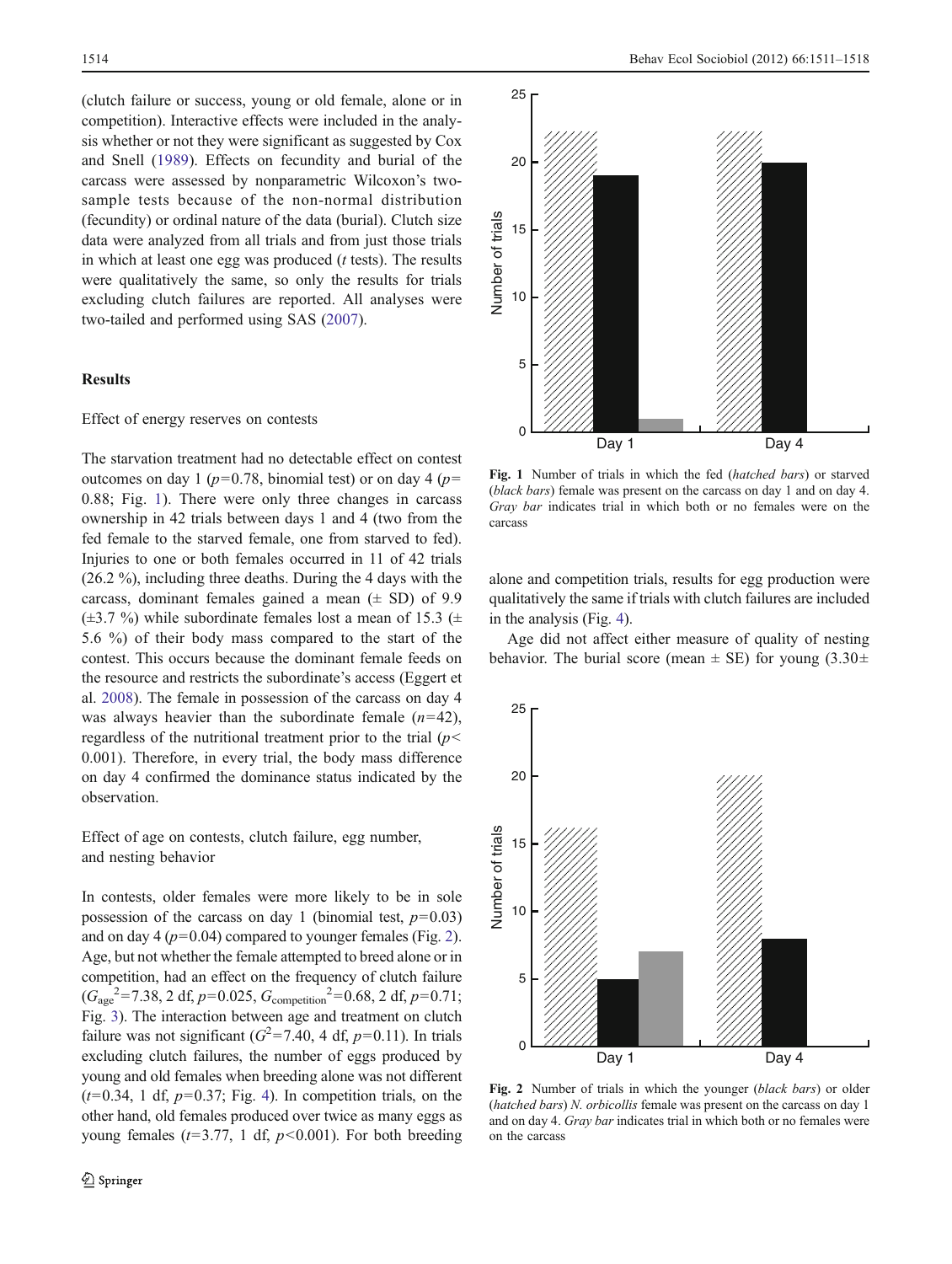(clutch failure or success, young or old female, alone or in competition). Interactive effects were included in the analysis whether or not they were significant as suggested by Cox and Snell [\(1989](#page-6-0)). Effects on fecundity and burial of the carcass were assessed by nonparametric Wilcoxon's twosample tests because of the non-normal distribution (fecundity) or ordinal nature of the data (burial). Clutch size data were analyzed from all trials and from just those trials in which at least one egg was produced  $(t$  tests). The results were qualitatively the same, so only the results for trials excluding clutch failures are reported. All analyses were two-tailed and performed using SAS [\(2007](#page-7-0)).

# **Results**

## Effect of energy reserves on contests

The starvation treatment had no detectable effect on contest outcomes on day 1 ( $p=0.78$ , binomial test) or on day 4 ( $p=$ 0.88; Fig. 1). There were only three changes in carcass ownership in 42 trials between days 1 and 4 (two from the fed female to the starved female, one from starved to fed). Injuries to one or both females occurred in 11 of 42 trials (26.2 %), including three deaths. During the 4 days with the carcass, dominant females gained a mean  $(\pm SD)$  of 9.9  $(\pm 3.7 \%)$  while subordinate females lost a mean of 15.3 ( $\pm$ 5.6 %) of their body mass compared to the start of the contest. This occurs because the dominant female feeds on the resource and restricts the subordinate's access (Eggert et al. [2008\)](#page-6-0). The female in possession of the carcass on day 4 was always heavier than the subordinate female  $(n=42)$ , regardless of the nutritional treatment prior to the trial  $(p<$ 0.001). Therefore, in every trial, the body mass difference on day 4 confirmed the dominance status indicated by the observation.

Effect of age on contests, clutch failure, egg number, and nesting behavior

In contests, older females were more likely to be in sole possession of the carcass on day 1 (binomial test,  $p=0.03$ ) and on day 4 ( $p=0.04$ ) compared to younger females (Fig. 2). Age, but not whether the female attempted to breed alone or in competition, had an effect on the frequency of clutch failure  $(G_{\text{age}}^2 = 7.38, 2 \text{ df}, p=0.025, G_{\text{competition}}^2 = 0.68, 2 \text{ df}, p=0.71;$ Fig. [3](#page-4-0)). The interaction between age and treatment on clutch failure was not significant ( $G^2 = 7.40$ , 4 df,  $p=0.11$ ). In trials excluding clutch failures, the number of eggs produced by young and old females when breeding alone was not different  $(t=0.34, 1 \text{ df}, p=0.37;$  Fig. [4\)](#page-4-0). In competition trials, on the other hand, old females produced over twice as many eggs as young females ( $t=3.77$ , 1 df,  $p<0.001$ ). For both breeding



Fig. 1 Number of trials in which the fed (hatched bars) or starved (black bars) female was present on the carcass on day 1 and on day 4. Gray bar indicates trial in which both or no females were on the carcass

alone and competition trials, results for egg production were qualitatively the same if trials with clutch failures are included in the analysis (Fig. [4\)](#page-4-0).

Age did not affect either measure of quality of nesting behavior. The burial score (mean  $\pm$  SE) for young (3.30 $\pm$ 



Fig. 2 Number of trials in which the younger (black bars) or older (hatched bars) N. orbicollis female was present on the carcass on day 1 and on day 4. Gray bar indicates trial in which both or no females were on the carcass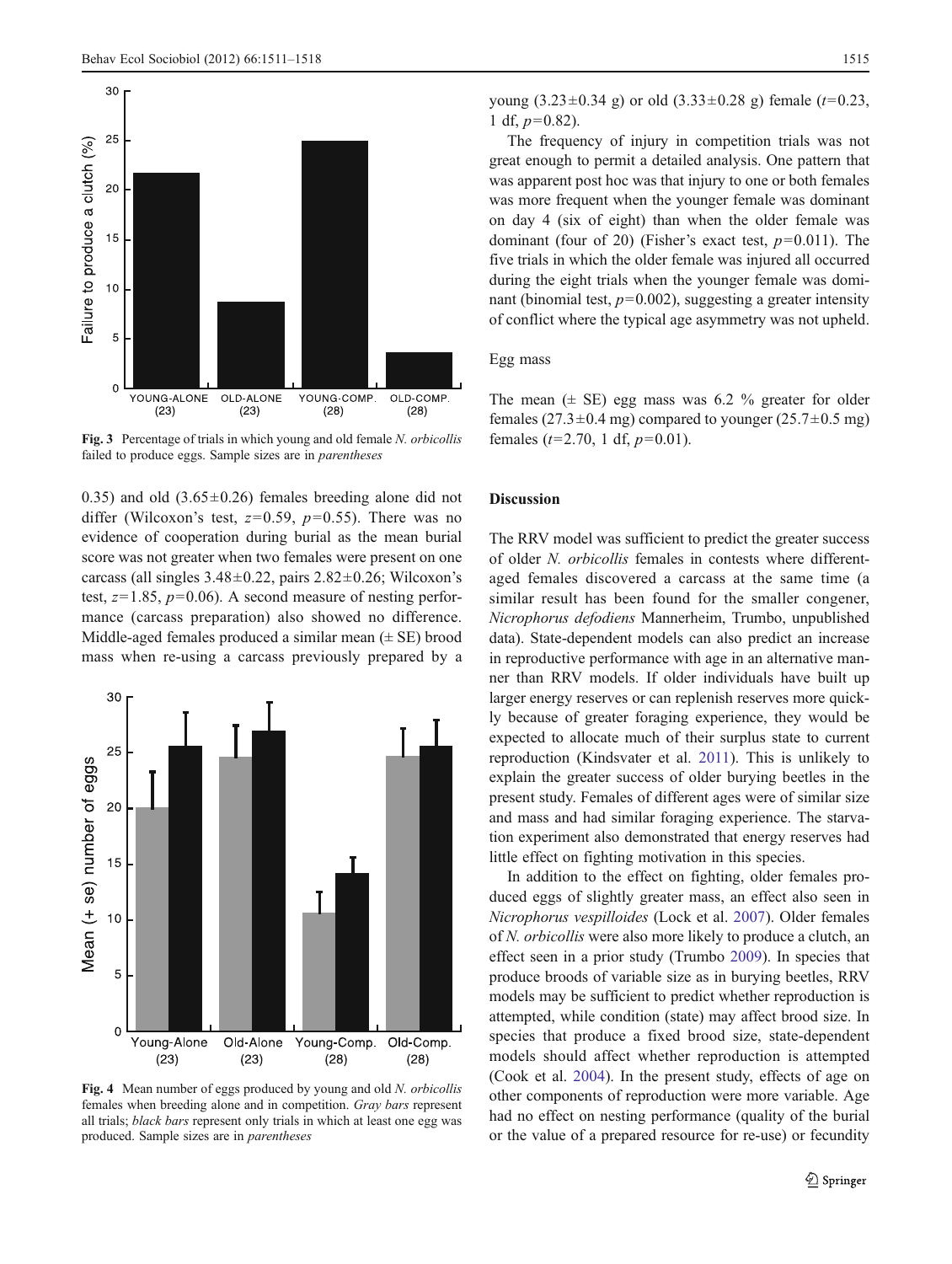<span id="page-4-0"></span>

Fig. 3 Percentage of trials in which young and old female N. orbicollis failed to produce eggs. Sample sizes are in parentheses

0.35) and old  $(3.65\pm0.26)$  females breeding alone did not differ (Wilcoxon's test,  $z=0.59$ ,  $p=0.55$ ). There was no evidence of cooperation during burial as the mean burial score was not greater when two females were present on one carcass (all singles  $3.48\pm0.22$ , pairs  $2.82\pm0.26$ ; Wilcoxon's test,  $z=1.85$ ,  $p=0.06$ ). A second measure of nesting performance (carcass preparation) also showed no difference. Middle-aged females produced a similar mean  $(\pm \text{ SE})$  brood mass when re-using a carcass previously prepared by a



Fig. 4 Mean number of eggs produced by young and old N. orbicollis females when breeding alone and in competition. Gray bars represent all trials; black bars represent only trials in which at least one egg was produced. Sample sizes are in parentheses

young  $(3.23\pm0.34 \text{ g})$  or old  $(3.33\pm0.28 \text{ g})$  female  $(t=0.23$ , 1 df,  $p=0.82$ ).

The frequency of injury in competition trials was not great enough to permit a detailed analysis. One pattern that was apparent post hoc was that injury to one or both females was more frequent when the younger female was dominant on day 4 (six of eight) than when the older female was dominant (four of 20) (Fisher's exact test,  $p=0.011$ ). The five trials in which the older female was injured all occurred during the eight trials when the younger female was dominant (binomial test,  $p=0.002$ ), suggesting a greater intensity of conflict where the typical age asymmetry was not upheld.

# Egg mass

The mean  $(\pm \text{ SE})$  egg mass was 6.2 % greater for older females (27.3 $\pm$ 0.4 mg) compared to younger (25.7 $\pm$ 0.5 mg) females  $(t=2.70, 1 \text{ df}, p=0.01)$ .

# Discussion

The RRV model was sufficient to predict the greater success of older N. orbicollis females in contests where differentaged females discovered a carcass at the same time (a similar result has been found for the smaller congener, Nicrophorus defodiens Mannerheim, Trumbo, unpublished data). State-dependent models can also predict an increase in reproductive performance with age in an alternative manner than RRV models. If older individuals have built up larger energy reserves or can replenish reserves more quickly because of greater foraging experience, they would be expected to allocate much of their surplus state to current reproduction (Kindsvater et al. [2011\)](#page-6-0). This is unlikely to explain the greater success of older burying beetles in the present study. Females of different ages were of similar size and mass and had similar foraging experience. The starvation experiment also demonstrated that energy reserves had little effect on fighting motivation in this species.

In addition to the effect on fighting, older females produced eggs of slightly greater mass, an effect also seen in Nicrophorus vespilloides (Lock et al. [2007](#page-7-0)). Older females of N. orbicollis were also more likely to produce a clutch, an effect seen in a prior study (Trumbo [2009\)](#page-7-0). In species that produce broods of variable size as in burying beetles, RRV models may be sufficient to predict whether reproduction is attempted, while condition (state) may affect brood size. In species that produce a fixed brood size, state-dependent models should affect whether reproduction is attempted (Cook et al. [2004\)](#page-6-0). In the present study, effects of age on other components of reproduction were more variable. Age had no effect on nesting performance (quality of the burial or the value of a prepared resource for re-use) or fecundity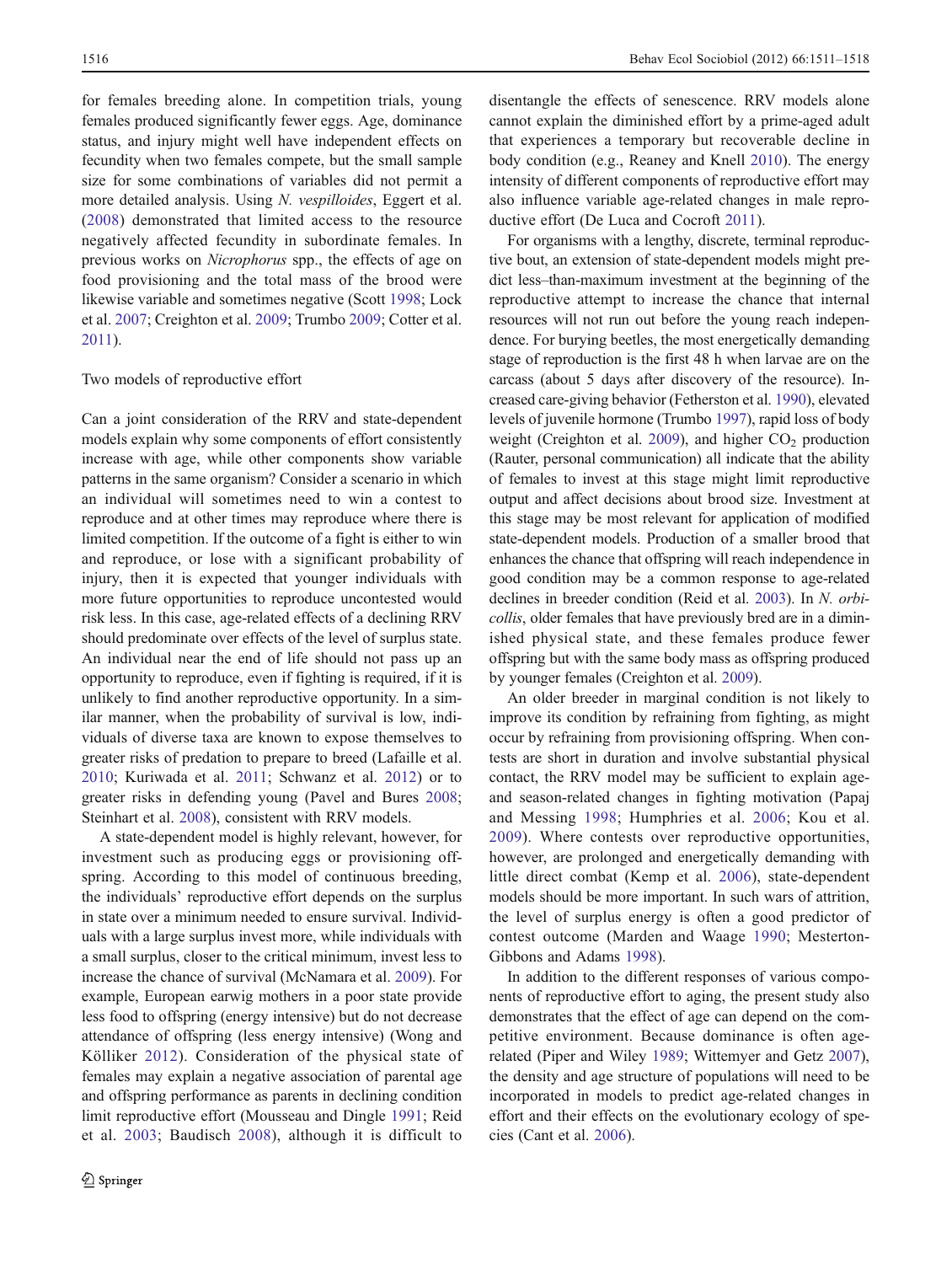for females breeding alone. In competition trials, young females produced significantly fewer eggs. Age, dominance status, and injury might well have independent effects on fecundity when two females compete, but the small sample size for some combinations of variables did not permit a more detailed analysis. Using N. vespilloides, Eggert et al. [\(2008\)](#page-6-0) demonstrated that limited access to the resource negatively affected fecundity in subordinate females. In previous works on Nicrophorus spp., the effects of age on food provisioning and the total mass of the brood were likewise variable and sometimes negative (Scott [1998;](#page-7-0) Lock et al. [2007](#page-7-0); Creighton et al. [2009;](#page-6-0) Trumbo [2009;](#page-7-0) Cotter et al. [2011\)](#page-6-0).

## Two models of reproductive effort

Can a joint consideration of the RRV and state-dependent models explain why some components of effort consistently increase with age, while other components show variable patterns in the same organism? Consider a scenario in which an individual will sometimes need to win a contest to reproduce and at other times may reproduce where there is limited competition. If the outcome of a fight is either to win and reproduce, or lose with a significant probability of injury, then it is expected that younger individuals with more future opportunities to reproduce uncontested would risk less. In this case, age-related effects of a declining RRV should predominate over effects of the level of surplus state. An individual near the end of life should not pass up an opportunity to reproduce, even if fighting is required, if it is unlikely to find another reproductive opportunity. In a similar manner, when the probability of survival is low, individuals of diverse taxa are known to expose themselves to greater risks of predation to prepare to breed (Lafaille et al. [2010](#page-7-0); Kuriwada et al. [2011](#page-7-0); Schwanz et al. [2012\)](#page-7-0) or to greater risks in defending young (Pavel and Bures [2008](#page-7-0); Steinhart et al. [2008](#page-7-0)), consistent with RRV models.

A state-dependent model is highly relevant, however, for investment such as producing eggs or provisioning offspring. According to this model of continuous breeding, the individuals' reproductive effort depends on the surplus in state over a minimum needed to ensure survival. Individuals with a large surplus invest more, while individuals with a small surplus, closer to the critical minimum, invest less to increase the chance of survival (McNamara et al. [2009](#page-7-0)). For example, European earwig mothers in a poor state provide less food to offspring (energy intensive) but do not decrease attendance of offspring (less energy intensive) (Wong and Kölliker [2012\)](#page-7-0). Consideration of the physical state of females may explain a negative association of parental age and offspring performance as parents in declining condition limit reproductive effort (Mousseau and Dingle [1991;](#page-7-0) Reid et al. [2003;](#page-7-0) Baudisch [2008\)](#page-6-0), although it is difficult to

disentangle the effects of senescence. RRV models alone cannot explain the diminished effort by a prime-aged adult that experiences a temporary but recoverable decline in body condition (e.g., Reaney and Knell [2010\)](#page-7-0). The energy intensity of different components of reproductive effort may also influence variable age-related changes in male reproductive effort (De Luca and Cocroft [2011](#page-6-0)).

For organisms with a lengthy, discrete, terminal reproductive bout, an extension of state-dependent models might predict less–than-maximum investment at the beginning of the reproductive attempt to increase the chance that internal resources will not run out before the young reach independence. For burying beetles, the most energetically demanding stage of reproduction is the first 48 h when larvae are on the carcass (about 5 days after discovery of the resource). Increased care-giving behavior (Fetherston et al. [1990\)](#page-6-0), elevated levels of juvenile hormone (Trumbo [1997](#page-7-0)), rapid loss of body weight (Creighton et al. [2009](#page-6-0)), and higher  $CO<sub>2</sub>$  production (Rauter, personal communication) all indicate that the ability of females to invest at this stage might limit reproductive output and affect decisions about brood size. Investment at this stage may be most relevant for application of modified state-dependent models. Production of a smaller brood that enhances the chance that offspring will reach independence in good condition may be a common response to age-related declines in breeder condition (Reid et al. [2003\)](#page-7-0). In N. orbicollis, older females that have previously bred are in a diminished physical state, and these females produce fewer offspring but with the same body mass as offspring produced by younger females (Creighton et al. [2009](#page-6-0)).

An older breeder in marginal condition is not likely to improve its condition by refraining from fighting, as might occur by refraining from provisioning offspring. When contests are short in duration and involve substantial physical contact, the RRV model may be sufficient to explain ageand season-related changes in fighting motivation (Papaj and Messing [1998](#page-7-0); Humphries et al. [2006](#page-6-0); Kou et al. [2009\)](#page-7-0). Where contests over reproductive opportunities, however, are prolonged and energetically demanding with little direct combat (Kemp et al. [2006](#page-6-0)), state-dependent models should be more important. In such wars of attrition, the level of surplus energy is often a good predictor of contest outcome (Marden and Waage [1990;](#page-7-0) Mesterton-Gibbons and Adams [1998](#page-7-0)).

In addition to the different responses of various components of reproductive effort to aging, the present study also demonstrates that the effect of age can depend on the competitive environment. Because dominance is often agerelated (Piper and Wiley [1989](#page-7-0); Wittemyer and Getz [2007\)](#page-7-0), the density and age structure of populations will need to be incorporated in models to predict age-related changes in effort and their effects on the evolutionary ecology of species (Cant et al. [2006\)](#page-6-0).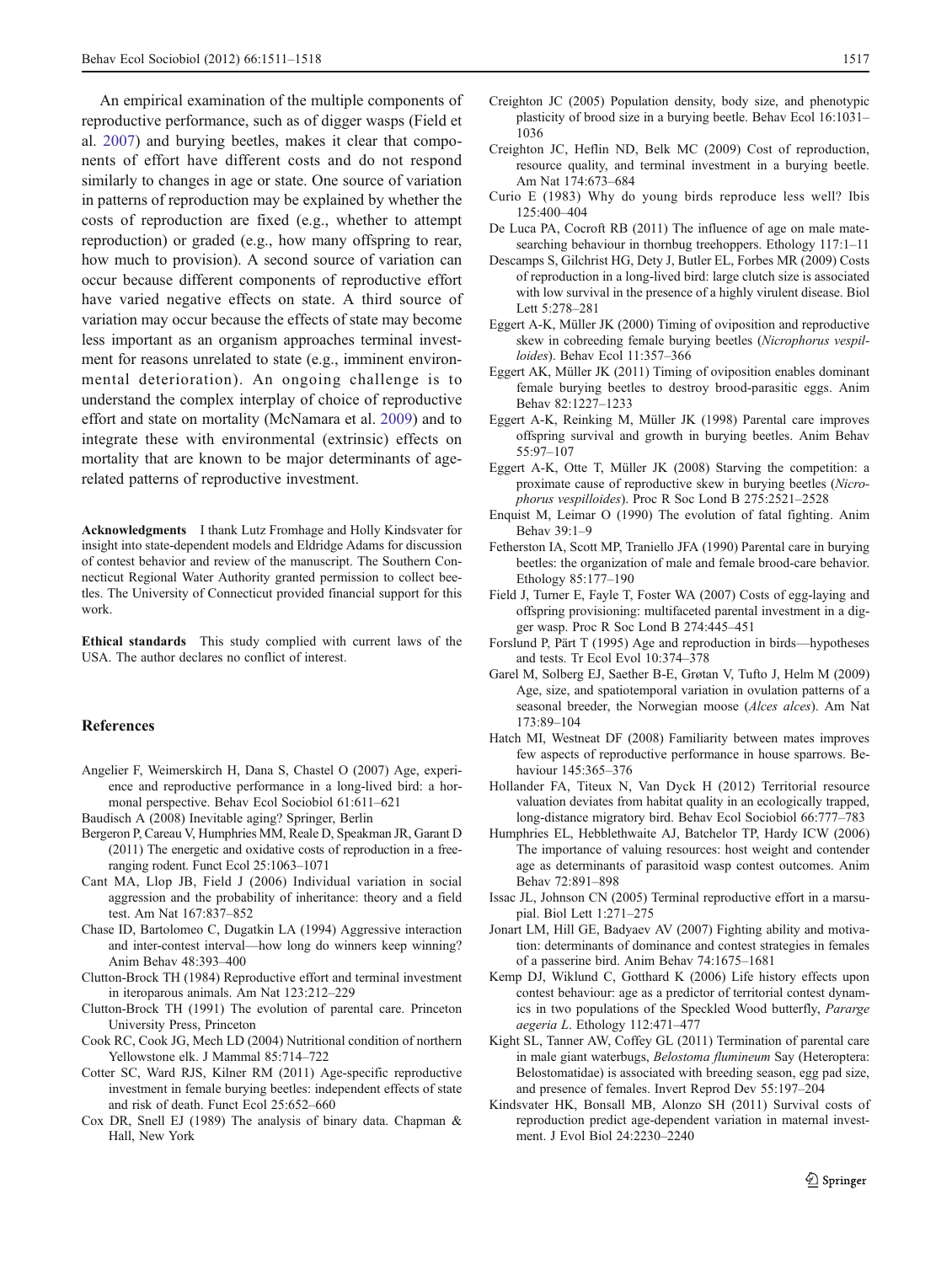<span id="page-6-0"></span>An empirical examination of the multiple components of reproductive performance, such as of digger wasps (Field et al. 2007) and burying beetles, makes it clear that components of effort have different costs and do not respond similarly to changes in age or state. One source of variation in patterns of reproduction may be explained by whether the costs of reproduction are fixed (e.g., whether to attempt reproduction) or graded (e.g., how many offspring to rear, how much to provision). A second source of variation can occur because different components of reproductive effort have varied negative effects on state. A third source of variation may occur because the effects of state may become less important as an organism approaches terminal investment for reasons unrelated to state (e.g., imminent environmental deterioration). An ongoing challenge is to understand the complex interplay of choice of reproductive effort and state on mortality (McNamara et al. [2009](#page-7-0)) and to integrate these with environmental (extrinsic) effects on mortality that are known to be major determinants of agerelated patterns of reproductive investment.

Acknowledgments I thank Lutz Fromhage and Holly Kindsvater for insight into state-dependent models and Eldridge Adams for discussion of contest behavior and review of the manuscript. The Southern Connecticut Regional Water Authority granted permission to collect beetles. The University of Connecticut provided financial support for this work.

Ethical standards This study complied with current laws of the USA. The author declares no conflict of interest.

# **References**

- Angelier F, Weimerskirch H, Dana S, Chastel O (2007) Age, experience and reproductive performance in a long-lived bird: a hormonal perspective. Behav Ecol Sociobiol 61:611–621
- Baudisch A (2008) Inevitable aging? Springer, Berlin
- Bergeron P, Careau V, Humphries MM, Reale D, Speakman JR, Garant D (2011) The energetic and oxidative costs of reproduction in a freeranging rodent. Funct Ecol 25:1063–1071
- Cant MA, Llop JB, Field J (2006) Individual variation in social aggression and the probability of inheritance: theory and a field test. Am Nat 167:837–852
- Chase ID, Bartolomeo C, Dugatkin LA (1994) Aggressive interaction and inter-contest interval—how long do winners keep winning? Anim Behav 48:393–400
- Clutton-Brock TH (1984) Reproductive effort and terminal investment in iteroparous animals. Am Nat 123:212–229
- Clutton-Brock TH (1991) The evolution of parental care. Princeton University Press, Princeton
- Cook RC, Cook JG, Mech LD (2004) Nutritional condition of northern Yellowstone elk. J Mammal 85:714–722
- Cotter SC, Ward RJS, Kilner RM (2011) Age-specific reproductive investment in female burying beetles: independent effects of state and risk of death. Funct Ecol 25:652–660
- Cox DR, Snell EJ (1989) The analysis of binary data. Chapman & Hall, New York
- Creighton JC (2005) Population density, body size, and phenotypic plasticity of brood size in a burying beetle. Behav Ecol 16:1031– 1036
- Creighton JC, Heflin ND, Belk MC (2009) Cost of reproduction, resource quality, and terminal investment in a burying beetle. Am Nat 174:673–684
- Curio E (1983) Why do young birds reproduce less well? Ibis 125:400–404
- De Luca PA, Cocroft RB (2011) The influence of age on male matesearching behaviour in thornbug treehoppers. Ethology 117:1–11
- Descamps S, Gilchrist HG, Dety J, Butler EL, Forbes MR (2009) Costs of reproduction in a long-lived bird: large clutch size is associated with low survival in the presence of a highly virulent disease. Biol Lett 5:278–281
- Eggert A-K, Müller JK (2000) Timing of oviposition and reproductive skew in cobreeding female burying beetles (Nicrophorus vespilloides). Behav Ecol 11:357–366
- Eggert AK, Müller JK (2011) Timing of oviposition enables dominant female burying beetles to destroy brood-parasitic eggs. Anim Behav 82:1227–1233
- Eggert A-K, Reinking M, Müller JK (1998) Parental care improves offspring survival and growth in burying beetles. Anim Behav 55:97–107
- Eggert A-K, Otte T, Müller JK (2008) Starving the competition: a proximate cause of reproductive skew in burying beetles (Nicrophorus vespilloides). Proc R Soc Lond B 275:2521–2528
- Enquist M, Leimar O (1990) The evolution of fatal fighting. Anim Behav 39:1–9
- Fetherston IA, Scott MP, Traniello JFA (1990) Parental care in burying beetles: the organization of male and female brood-care behavior. Ethology 85:177–190
- Field J, Turner E, Fayle T, Foster WA (2007) Costs of egg-laying and offspring provisioning: multifaceted parental investment in a digger wasp. Proc R Soc Lond B 274:445–451
- Forslund P, Pärt T (1995) Age and reproduction in birds—hypotheses and tests. Tr Ecol Evol 10:374–378
- Garel M, Solberg EJ, Saether B-E, Grøtan V, Tufto J, Helm M (2009) Age, size, and spatiotemporal variation in ovulation patterns of a seasonal breeder, the Norwegian moose (Alces alces). Am Nat 173:89–104
- Hatch MI, Westneat DF (2008) Familiarity between mates improves few aspects of reproductive performance in house sparrows. Behaviour 145:365–376
- Hollander FA, Titeux N, Van Dyck H (2012) Territorial resource valuation deviates from habitat quality in an ecologically trapped, long-distance migratory bird. Behav Ecol Sociobiol 66:777–783
- Humphries EL, Hebblethwaite AJ, Batchelor TP, Hardy ICW (2006) The importance of valuing resources: host weight and contender age as determinants of parasitoid wasp contest outcomes. Anim Behav 72:891–898
- Issac JL, Johnson CN (2005) Terminal reproductive effort in a marsupial. Biol Lett 1:271–275
- Jonart LM, Hill GE, Badyaev AV (2007) Fighting ability and motivation: determinants of dominance and contest strategies in females of a passerine bird. Anim Behav 74:1675–1681
- Kemp DJ, Wiklund C, Gotthard K (2006) Life history effects upon contest behaviour: age as a predictor of territorial contest dynamics in two populations of the Speckled Wood butterfly, Pararge aegeria L. Ethology 112:471–477
- Kight SL, Tanner AW, Coffey GL (2011) Termination of parental care in male giant waterbugs, Belostoma flumineum Say (Heteroptera: Belostomatidae) is associated with breeding season, egg pad size, and presence of females. Invert Reprod Dev 55:197–204
- Kindsvater HK, Bonsall MB, Alonzo SH (2011) Survival costs of reproduction predict age-dependent variation in maternal investment. J Evol Biol 24:2230–2240